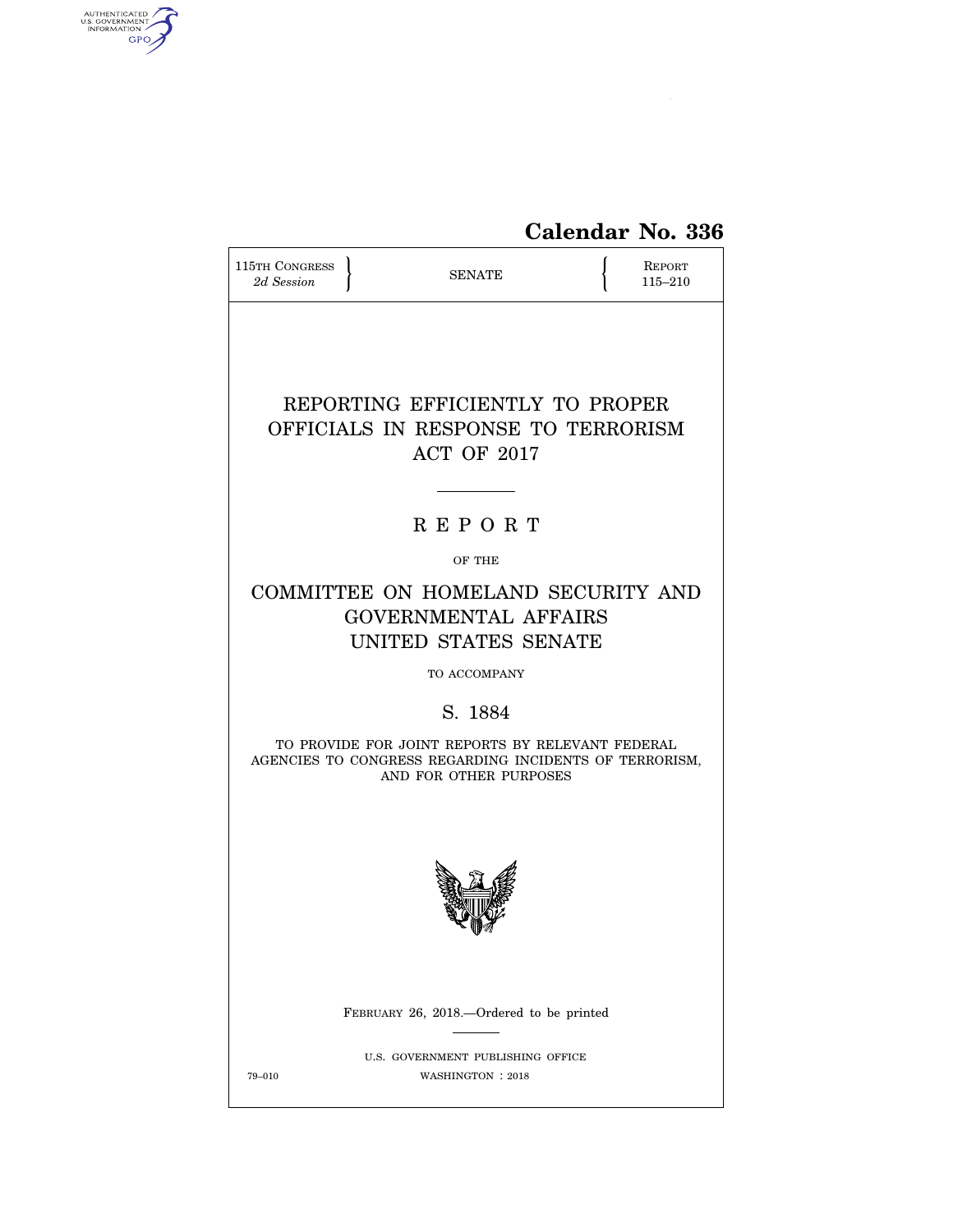

| 115TH CONGRESS<br>2d Session                                                                                                         | <b>SENATE</b>                                                                             |  | <b>REPORT</b><br>115-210 |  |
|--------------------------------------------------------------------------------------------------------------------------------------|-------------------------------------------------------------------------------------------|--|--------------------------|--|
|                                                                                                                                      | REPORTING EFFICIENTLY TO PROPER<br>OFFICIALS IN RESPONSE TO TERRORISM<br>ACT OF 2017      |  |                          |  |
|                                                                                                                                      | <b>REPORT</b>                                                                             |  |                          |  |
|                                                                                                                                      | OF THE                                                                                    |  |                          |  |
|                                                                                                                                      | COMMITTEE ON HOMELAND SECURITY AND<br><b>GOVERNMENTAL AFFAIRS</b><br>UNITED STATES SENATE |  |                          |  |
|                                                                                                                                      | TO ACCOMPANY                                                                              |  |                          |  |
|                                                                                                                                      | S. 1884                                                                                   |  |                          |  |
| TO PROVIDE FOR JOINT REPORTS BY RELEVANT FEDERAL<br>AGENCIES TO CONGRESS REGARDING INCIDENTS OF TERRORISM,<br>AND FOR OTHER PURPOSES |                                                                                           |  |                          |  |
|                                                                                                                                      |                                                                                           |  |                          |  |
|                                                                                                                                      | FEBRUARY 26, 2018.—Ordered to be printed                                                  |  |                          |  |
| 79-010                                                                                                                               | U.S. GOVERNMENT PUBLISHING OFFICE<br>WASHINGTON : 2018                                    |  |                          |  |

AUTHENTICATED<br>U.S. GOVERNMENT<br>INFORMATION<br>GPO

 $\widehat{\mathbf{f}}$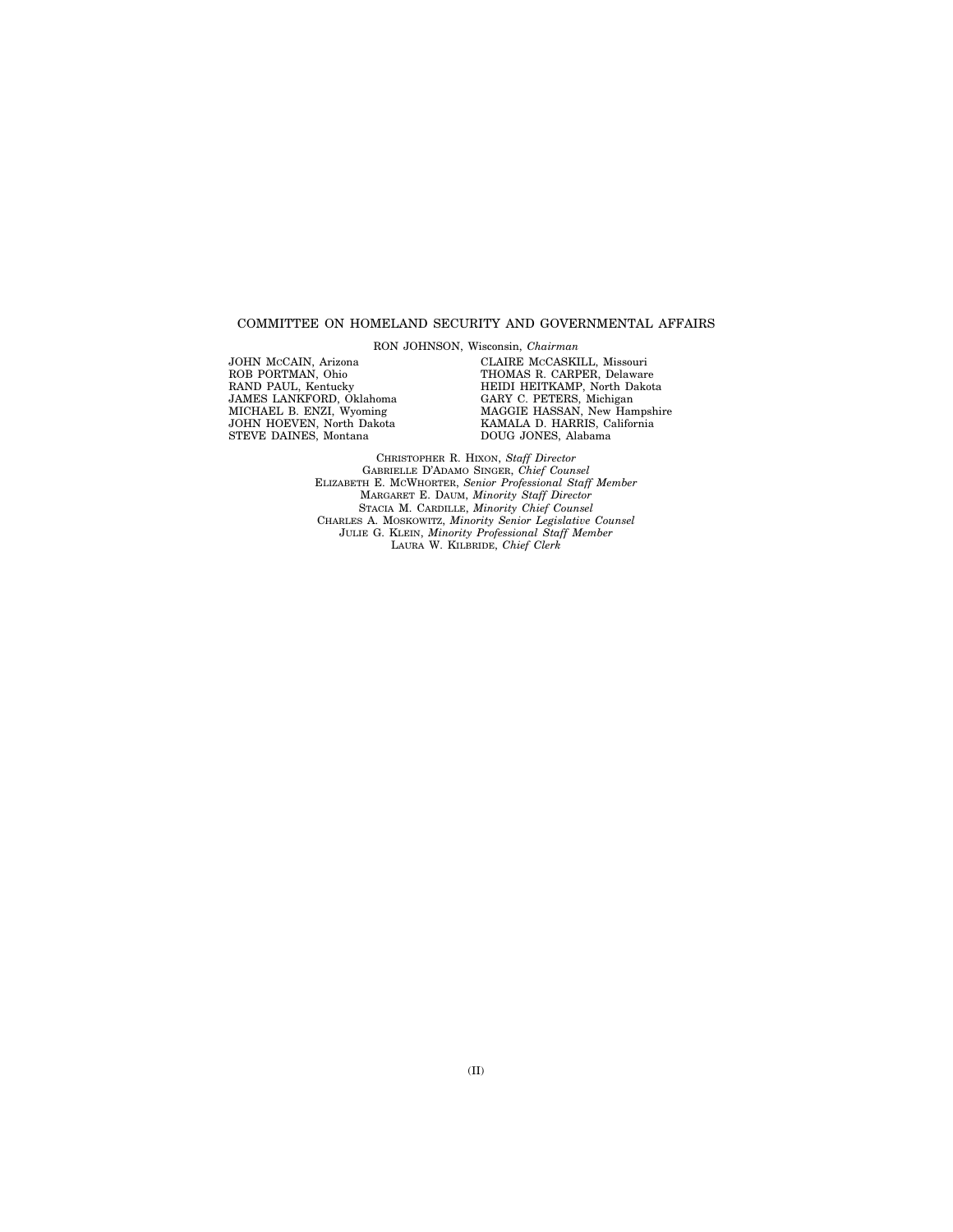# COMMITTEE ON HOMELAND SECURITY AND GOVERNMENTAL AFFAIRS

RON JOHNSON, Wisconsin, *Chairman* 

JOHN MCCAIN, Arizona ROB PORTMAN, Ohio RAND PAUL, Kentucky JAMES LANKFORD, Oklahoma MICHAEL B. ENZI, Wyoming JOHN HOEVEN, North Dakota STEVE DAINES, Montana

CLAIRE MCCASKILL, Missouri THOMAS R. CARPER, Delaware HEIDI HEITKAMP, North Dakota GARY C. PETERS, Michigan MAGGIE HASSAN, New Hampshire KAMALA D. HARRIS, California DOUG JONES, Alabama

CHRISTOPHER R. HIXON, *Staff Director*  GABRIELLE D'ADAMO SINGER, *Chief Counsel*  ELIZABETH E. MCWHORTER, *Senior Professional Staff Member*  MARGARET E. DAUM, *Minority Staff Director*  STACIA M. CARDILLE, *Minority Chief Counsel*  CHARLES A. MOSKOWITZ, *Minority Senior Legislative Counsel*  JULIE G. KLEIN, *Minority Professional Staff Member*  LAURA W. KILBRIDE, *Chief Clerk*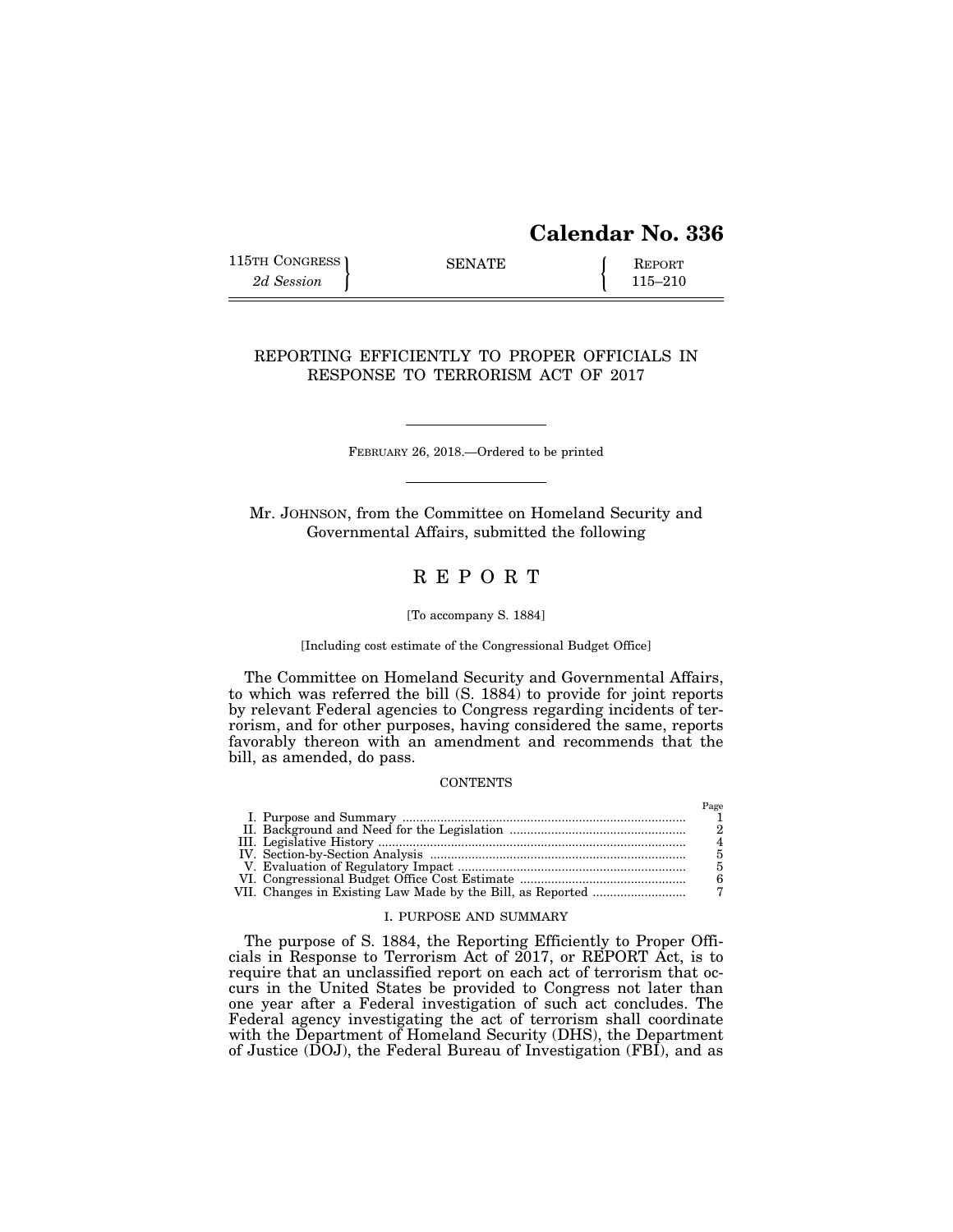# **Calendar No. 336**

115TH CONGRESS SENATE <br>
2d Session **REPORT** 115–210

 $P_{\alpha\alpha\alpha}$ 

# REPORTING EFFICIENTLY TO PROPER OFFICIALS IN RESPONSE TO TERRORISM ACT OF 2017

FEBRUARY 26, 2018.—Ordered to be printed

Mr. JOHNSON, from the Committee on Homeland Security and Governmental Affairs, submitted the following

# R E P O R T

#### [To accompany S. 1884]

[Including cost estimate of the Congressional Budget Office]

The Committee on Homeland Security and Governmental Affairs, to which was referred the bill (S. 1884) to provide for joint reports by relevant Federal agencies to Congress regarding incidents of terrorism, and for other purposes, having considered the same, reports favorably thereon with an amendment and recommends that the bill, as amended, do pass.

#### **CONTENTS**

|  | 1 agu |
|--|-------|
|  |       |
|  |       |
|  |       |
|  |       |
|  |       |
|  |       |
|  |       |

# I. PURPOSE AND SUMMARY

The purpose of S. 1884, the Reporting Efficiently to Proper Officials in Response to Terrorism Act of 2017, or REPORT Act, is to require that an unclassified report on each act of terrorism that occurs in the United States be provided to Congress not later than one year after a Federal investigation of such act concludes. The Federal agency investigating the act of terrorism shall coordinate with the Department of Homeland Security (DHS), the Department of Justice (DOJ), the Federal Bureau of Investigation (FBI), and as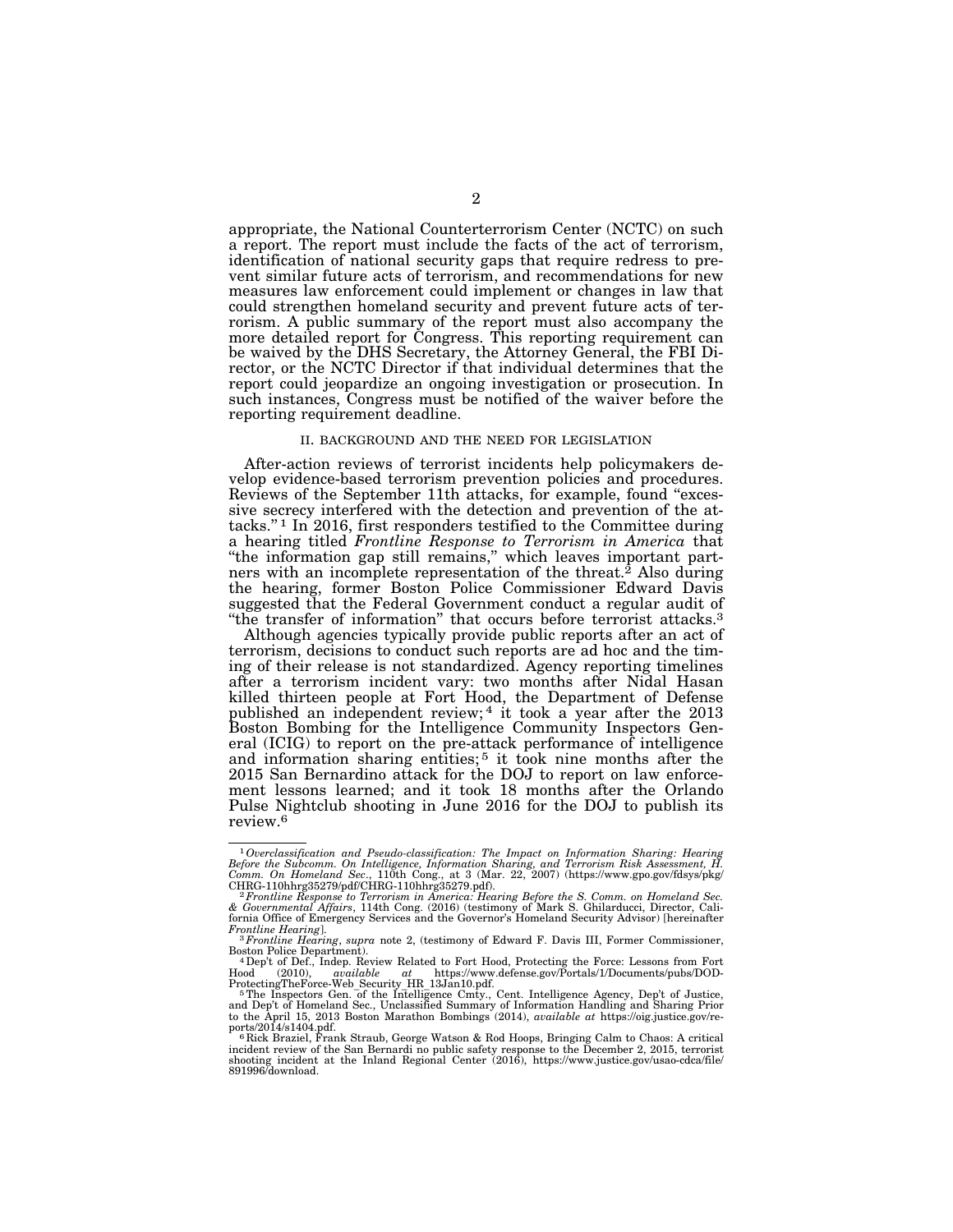appropriate, the National Counterterrorism Center (NCTC) on such a report. The report must include the facts of the act of terrorism, identification of national security gaps that require redress to prevent similar future acts of terrorism, and recommendations for new measures law enforcement could implement or changes in law that could strengthen homeland security and prevent future acts of terrorism. A public summary of the report must also accompany the more detailed report for Congress. This reporting requirement can be waived by the DHS Secretary, the Attorney General, the FBI Director, or the NCTC Director if that individual determines that the report could jeopardize an ongoing investigation or prosecution. In such instances, Congress must be notified of the waiver before the reporting requirement deadline.

## II. BACKGROUND AND THE NEED FOR LEGISLATION

After-action reviews of terrorist incidents help policymakers develop evidence-based terrorism prevention policies and procedures. Reviews of the September 11th attacks, for example, found "excessive secrecy interfered with the detection and prevention of the attacks.'' 1 In 2016, first responders testified to the Committee during a hearing titled *Frontline Response to Terrorism in America* that ''the information gap still remains,'' which leaves important partners with an incomplete representation of the threat.<sup>2</sup> Also during the hearing, former Boston Police Commissioner Edward Davis suggested that the Federal Government conduct a regular audit of "the transfer of information" that occurs before terrorist attacks.<sup>3</sup>

Although agencies typically provide public reports after an act of terrorism, decisions to conduct such reports are ad hoc and the timing of their release is not standardized. Agency reporting timelines after a terrorism incident vary: two months after Nidal Hasan killed thirteen people at Fort Hood, the Department of Defense published an independent review; 4 it took a year after the 2013 Boston Bombing for the Intelligence Community Inspectors General (ICIG) to report on the pre-attack performance of intelligence and information sharing entities;<sup>5</sup> it took nine months after the 2015 San Bernardino attack for the DOJ to report on law enforcement lessons learned; and it took 18 months after the Orlando Pulse Nightclub shooting in June 2016 for the DOJ to publish its review.6

<sup>&</sup>lt;sup>1</sup> Overclassification and Pseudo-classification: The Impact on Information Sharing: Hearing Before the Subcomm. On Intelligence, Information Sharing, and Terrorism Risk Assessment, H. Comm. On Homeland Sec., 110th Cong.,

CHRG-110hhrg35279/pdf/CHRG-110hhrg35279.pdf).<br>- <sup>2</sup> Frontline Response to Terrorism in America: Hearing Before the S. Comm. on Homeland Sec.<br>& Governmental Affairs, 114th Cong. (2016) (testimony of Mark S. Ghilarducci, Dir fornia Office of Emergency Services and the Governor's Homeland Security Advisor) [hereinafter Frontline Hearing].

*Frontline Hearing*]. 3*Frontline Hearing*, *supra* note 2, (testimony of Edward F. Davis III, Former Commissioner,

Boston Police Department).<br>  $^4$ -Dep't of Def., Indep. Review Related to Fort Hood, Protecting the Force: Lessons from Fort<br>  $^4$ -Dep't of Def., Independent at https://www.defense.gov/Portals/1/Documents/pubs/DOD-<br>
Protec

to the April 15, 2013 Boston Marathon Bombings (2014), *available at* https://oig.justice.gov/re-<br>ports/2014/s1404.pdf.<br><sup>6</sup> Rick Braziel, Frank Straub, George Watson & Rod Hoops, Bringing Calm to Chaos: A critical

incident review of the San Bernardi no public safety response to the December 2, 2015, terrorist shooting incident at the Inland Regional Center (2016), https://www.justice.gov/usao-cdca/file/ 891996/download.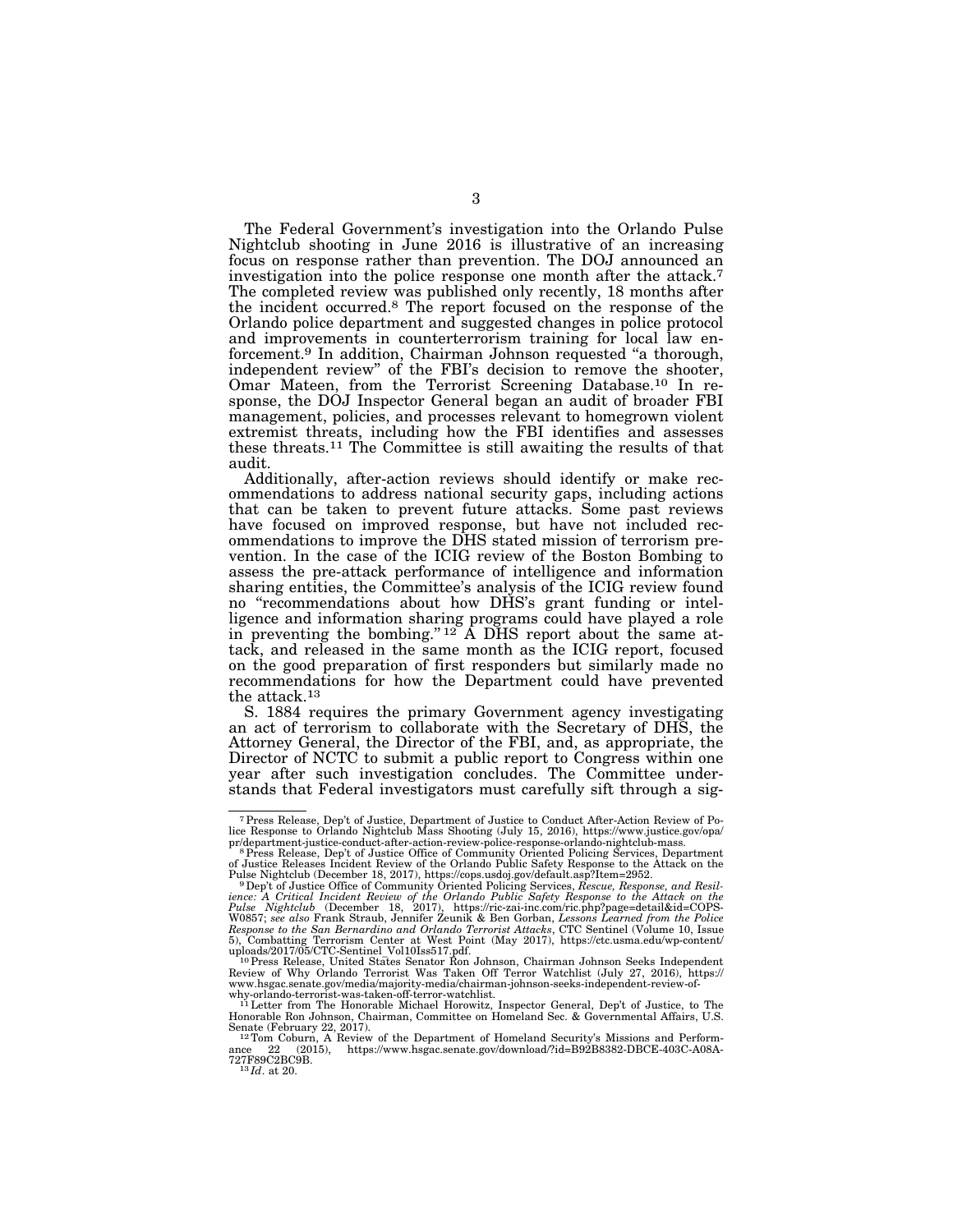The Federal Government's investigation into the Orlando Pulse Nightclub shooting in June 2016 is illustrative of an increasing focus on response rather than prevention. The DOJ announced an investigation into the police response one month after the attack.7 The completed review was published only recently, 18 months after the incident occurred.8 The report focused on the response of the Orlando police department and suggested changes in police protocol and improvements in counterterrorism training for local law enforcement.9 In addition, Chairman Johnson requested ''a thorough, independent review'' of the FBI's decision to remove the shooter, Omar Mateen, from the Terrorist Screening Database.<sup>10</sup> In response, the DOJ Inspector General began an audit of broader FBI management, policies, and processes relevant to homegrown violent extremist threats, including how the FBI identifies and assesses these threats.11 The Committee is still awaiting the results of that audit.

Additionally, after-action reviews should identify or make recommendations to address national security gaps, including actions that can be taken to prevent future attacks. Some past reviews have focused on improved response, but have not included recommendations to improve the DHS stated mission of terrorism prevention. In the case of the ICIG review of the Boston Bombing to assess the pre-attack performance of intelligence and information sharing entities, the Committee's analysis of the ICIG review found no ''recommendations about how DHS's grant funding or intelligence and information sharing programs could have played a role in preventing the bombing."<sup>12</sup>  $\AA$  DHS report about the same attack, and released in the same month as the ICIG report, focused on the good preparation of first responders but similarly made no recommendations for how the Department could have prevented the attack.13

S. 1884 requires the primary Government agency investigating an act of terrorism to collaborate with the Secretary of DHS, the Attorney General, the Director of the FBI, and, as appropriate, the Director of NCTC to submit a public report to Congress within one year after such investigation concludes. The Committee understands that Federal investigators must carefully sift through a sig-

<sup>7</sup>Press Release, Dep't of Justice, Department of Justice to Conduct After-Action Review of Po-lice Response to Orlando Nightclub Mass Shooting (July 15, 2016), https://www.justice.gov/opa/

pr/department-justice-conduct-after-action-review-police-response-orlando-nightclub-mass.<br><sup>8</sup> Press Release, Dep't of Justice Office of Community Oriented Policing Services, Department<br>of Justice Releases Incident Review o

Pulse Nightclub (December 18, 2017), https://cops.usdoj.gov/default.asp?Item=2952.<br><sup>9</sup> Dep't of Justice Office of Community Oriented Policing Services, *Rescue, Response, and Resiliance: A Critical Incident Review of the O* 

uploads/2017/05/CTC-Sentinel\_Vol10Iss517.pdf.<br><sup>10</sup> Press Release, United States Senator Ron Johnson, Chairman Johnson Seeks Independent<br>Review of Why Orlando Terrorist Was Taken Off Terror Watchlist (July 27, 2016), https: www.hsgac.senate.gov/media/majority-media/chairman-johnson-seeks-independent-review-of-

why-orlando-terrorist-was-taken-off-terror-watchlist.<br><sup>11</sup>Letter from The Honorable Michael Horowitz, Inspector General, Dep't of Justice, to The Honorable Ron Johnson, Chairman, Committee on Homeland Sec. & Governmental Affairs, U.S.

 $\frac{12}{12}$ Tom Coburn, A Review of the Department of Homeland Security's Missions and Performance 22 (2015), https://www.hsgac.senate.gov/download/?id=B92B8382-DBCE-403C-A08A-727F89C2BC9B. 13 *Id*. at 20.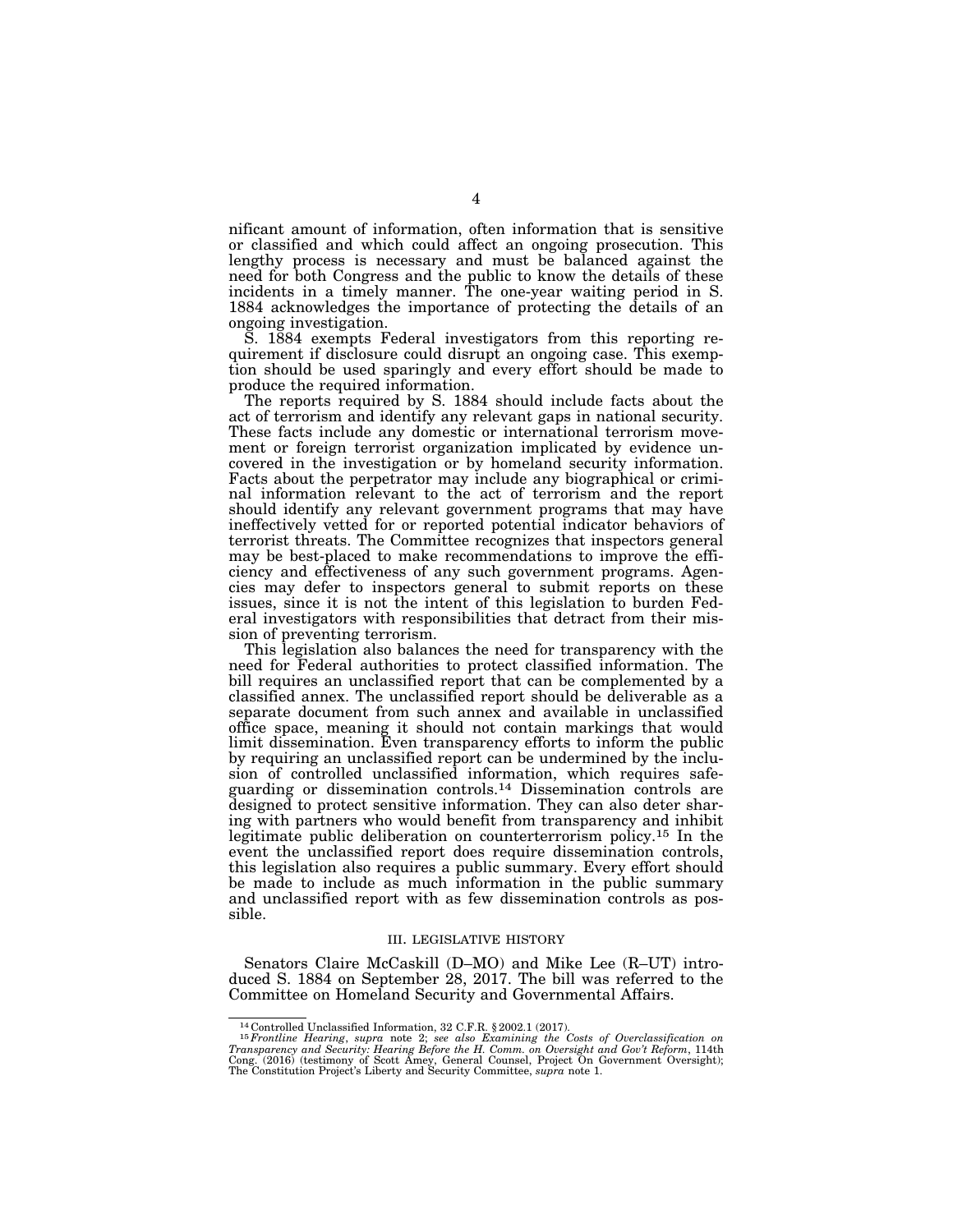nificant amount of information, often information that is sensitive or classified and which could affect an ongoing prosecution. This lengthy process is necessary and must be balanced against the need for both Congress and the public to know the details of these incidents in a timely manner. The one-year waiting period in S. 1884 acknowledges the importance of protecting the details of an ongoing investigation.

S. 1884 exempts Federal investigators from this reporting requirement if disclosure could disrupt an ongoing case. This exemption should be used sparingly and every effort should be made to produce the required information.

The reports required by S. 1884 should include facts about the act of terrorism and identify any relevant gaps in national security. These facts include any domestic or international terrorism movement or foreign terrorist organization implicated by evidence uncovered in the investigation or by homeland security information. Facts about the perpetrator may include any biographical or criminal information relevant to the act of terrorism and the report should identify any relevant government programs that may have ineffectively vetted for or reported potential indicator behaviors of terrorist threats. The Committee recognizes that inspectors general may be best-placed to make recommendations to improve the efficiency and effectiveness of any such government programs. Agencies may defer to inspectors general to submit reports on these issues, since it is not the intent of this legislation to burden Federal investigators with responsibilities that detract from their mission of preventing terrorism.

This legislation also balances the need for transparency with the need for Federal authorities to protect classified information. The bill requires an unclassified report that can be complemented by a classified annex. The unclassified report should be deliverable as a separate document from such annex and available in unclassified office space, meaning it should not contain markings that would limit dissemination. Even transparency efforts to inform the public by requiring an unclassified report can be undermined by the inclusion of controlled unclassified information, which requires safeguarding or dissemination controls.14 Dissemination controls are designed to protect sensitive information. They can also deter sharing with partners who would benefit from transparency and inhibit legitimate public deliberation on counterterrorism policy.15 In the event the unclassified report does require dissemination controls, this legislation also requires a public summary. Every effort should be made to include as much information in the public summary and unclassified report with as few dissemination controls as possible.

## III. LEGISLATIVE HISTORY

Senators Claire McCaskill (D–MO) and Mike Lee (R–UT) introduced S. 1884 on September 28, 2017. The bill was referred to the Committee on Homeland Security and Governmental Affairs.

<sup>&</sup>lt;sup>14</sup> Controlled Unclassified Information, 32 C.F.R. § 2002.1 (2017).<br><sup>15</sup> Frontline Hearing, supra note 2; see also Examining the Costs of Overclassification on Transparency and Security: Hearing Before the H. Comm. on Ov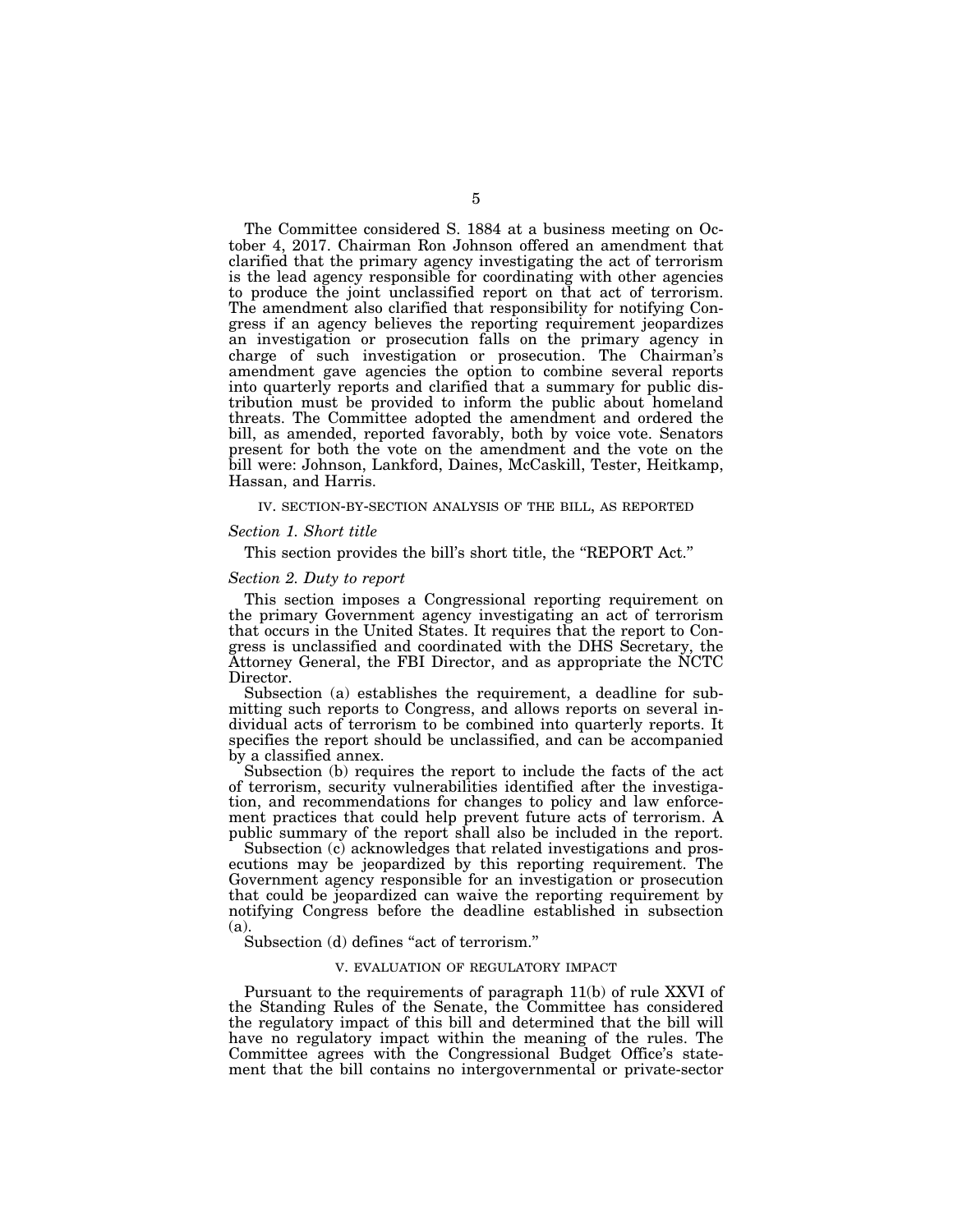The Committee considered S. 1884 at a business meeting on October 4, 2017. Chairman Ron Johnson offered an amendment that clarified that the primary agency investigating the act of terrorism is the lead agency responsible for coordinating with other agencies to produce the joint unclassified report on that act of terrorism. The amendment also clarified that responsibility for notifying Congress if an agency believes the reporting requirement jeopardizes an investigation or prosecution falls on the primary agency in charge of such investigation or prosecution. The Chairman's amendment gave agencies the option to combine several reports into quarterly reports and clarified that a summary for public distribution must be provided to inform the public about homeland threats. The Committee adopted the amendment and ordered the bill, as amended, reported favorably, both by voice vote. Senators present for both the vote on the amendment and the vote on the bill were: Johnson, Lankford, Daines, McCaskill, Tester, Heitkamp, Hassan, and Harris.

# IV. SECTION-BY-SECTION ANALYSIS OF THE BILL, AS REPORTED

#### *Section 1. Short title*

This section provides the bill's short title, the ''REPORT Act.''

#### *Section 2. Duty to report*

This section imposes a Congressional reporting requirement on the primary Government agency investigating an act of terrorism that occurs in the United States. It requires that the report to Congress is unclassified and coordinated with the DHS Secretary, the Attorney General, the FBI Director, and as appropriate the NCTC Director.

Subsection (a) establishes the requirement, a deadline for submitting such reports to Congress, and allows reports on several individual acts of terrorism to be combined into quarterly reports. It specifies the report should be unclassified, and can be accompanied by a classified annex.

Subsection (b) requires the report to include the facts of the act of terrorism, security vulnerabilities identified after the investigation, and recommendations for changes to policy and law enforcement practices that could help prevent future acts of terrorism. A public summary of the report shall also be included in the report.

Subsection (c) acknowledges that related investigations and prosecutions may be jeopardized by this reporting requirement. The Government agency responsible for an investigation or prosecution that could be jeopardized can waive the reporting requirement by notifying Congress before the deadline established in subsection (a).

Subsection (d) defines "act of terrorism."

# V. EVALUATION OF REGULATORY IMPACT

Pursuant to the requirements of paragraph 11(b) of rule XXVI of the Standing Rules of the Senate, the Committee has considered the regulatory impact of this bill and determined that the bill will have no regulatory impact within the meaning of the rules. The Committee agrees with the Congressional Budget Office's statement that the bill contains no intergovernmental or private-sector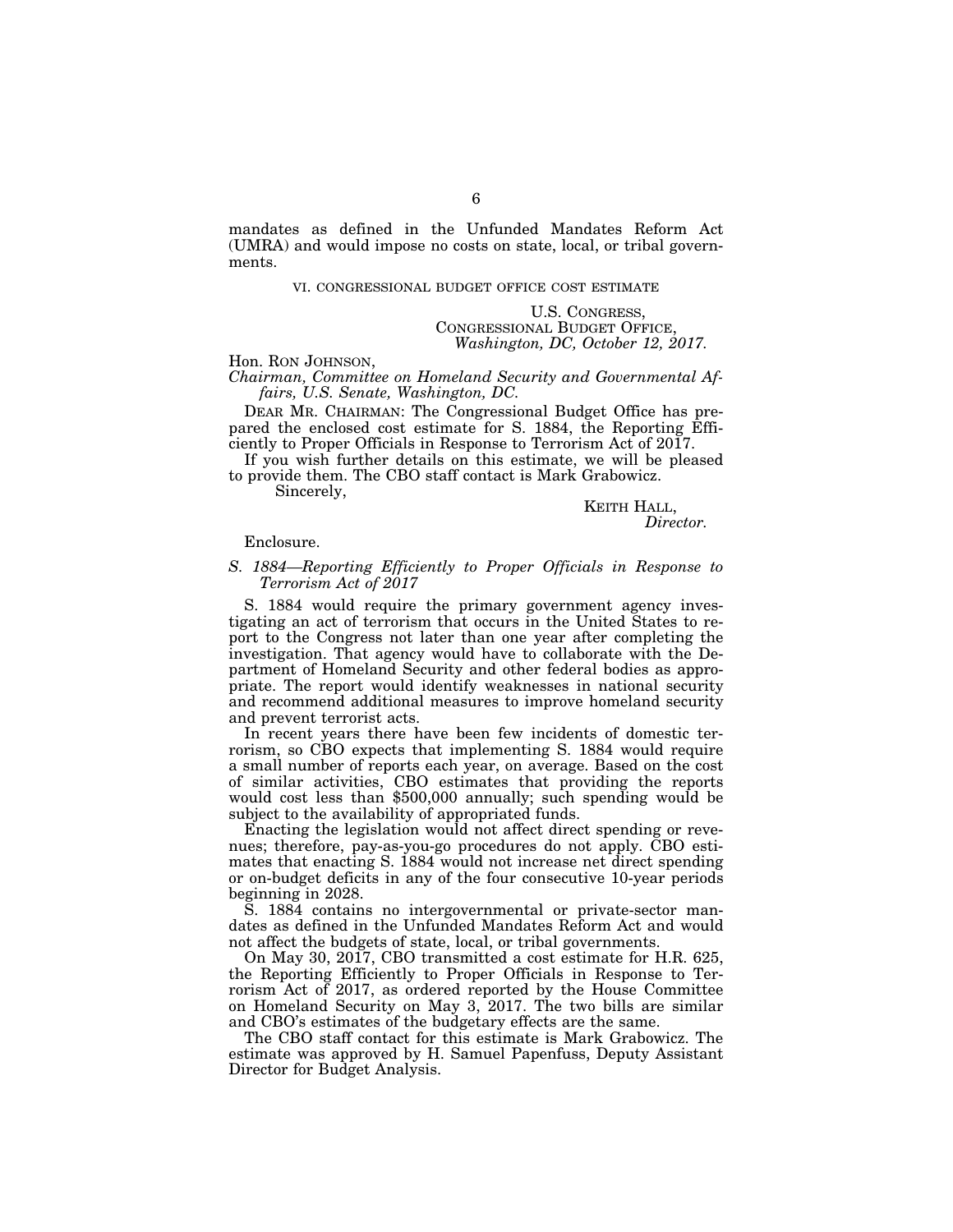mandates as defined in the Unfunded Mandates Reform Act (UMRA) and would impose no costs on state, local, or tribal governments.

## VI. CONGRESSIONAL BUDGET OFFICE COST ESTIMATE

U.S. CONGRESS, CONGRESSIONAL BUDGET OFFICE, *Washington, DC, October 12, 2017.* 

# Hon. RON JOHNSON,

*Chairman, Committee on Homeland Security and Governmental Affairs, U.S. Senate, Washington, DC.* 

DEAR MR. CHAIRMAN: The Congressional Budget Office has prepared the enclosed cost estimate for S. 1884, the Reporting Efficiently to Proper Officials in Response to Terrorism Act of 2017.

If you wish further details on this estimate, we will be pleased to provide them. The CBO staff contact is Mark Grabowicz.

Sincerely,

# KEITH HALL, *Director.*

# Enclosure.

# *S. 1884—Reporting Efficiently to Proper Officials in Response to Terrorism Act of 2017*

S. 1884 would require the primary government agency investigating an act of terrorism that occurs in the United States to report to the Congress not later than one year after completing the investigation. That agency would have to collaborate with the Department of Homeland Security and other federal bodies as appropriate. The report would identify weaknesses in national security and recommend additional measures to improve homeland security and prevent terrorist acts.

In recent years there have been few incidents of domestic terrorism, so CBO expects that implementing S. 1884 would require a small number of reports each year, on average. Based on the cost of similar activities, CBO estimates that providing the reports would cost less than \$500,000 annually; such spending would be subject to the availability of appropriated funds.

Enacting the legislation would not affect direct spending or revenues; therefore, pay-as-you-go procedures do not apply. CBO estimates that enacting S. 1884 would not increase net direct spending or on-budget deficits in any of the four consecutive 10-year periods beginning in 2028.

S. 1884 contains no intergovernmental or private-sector mandates as defined in the Unfunded Mandates Reform Act and would not affect the budgets of state, local, or tribal governments.

On May 30, 2017, CBO transmitted a cost estimate for H.R. 625, the Reporting Efficiently to Proper Officials in Response to Terrorism Act of 2017, as ordered reported by the House Committee on Homeland Security on May 3, 2017. The two bills are similar and CBO's estimates of the budgetary effects are the same.

The CBO staff contact for this estimate is Mark Grabowicz. The estimate was approved by H. Samuel Papenfuss, Deputy Assistant Director for Budget Analysis.